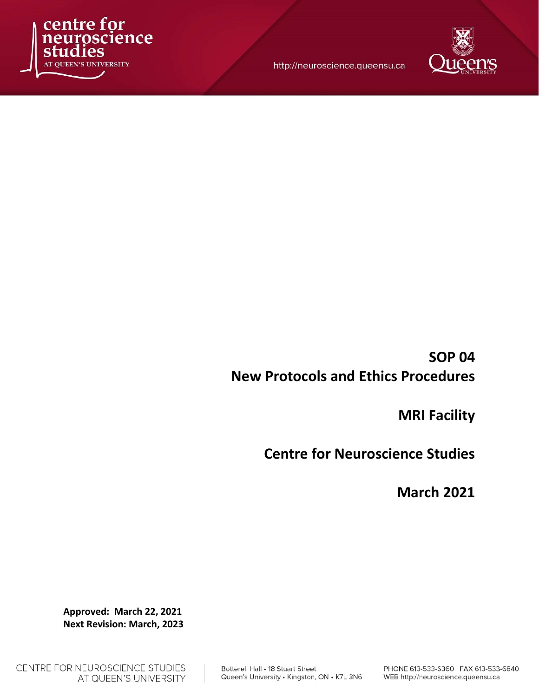

http://neuroscience.queensu.ca



# SOP 04 New Protocols and Ethics Procedures

MRI Facility

Centre for Neuroscience Studies

March 2021

Approved: March 22, 2021 Next Revision: March, 2023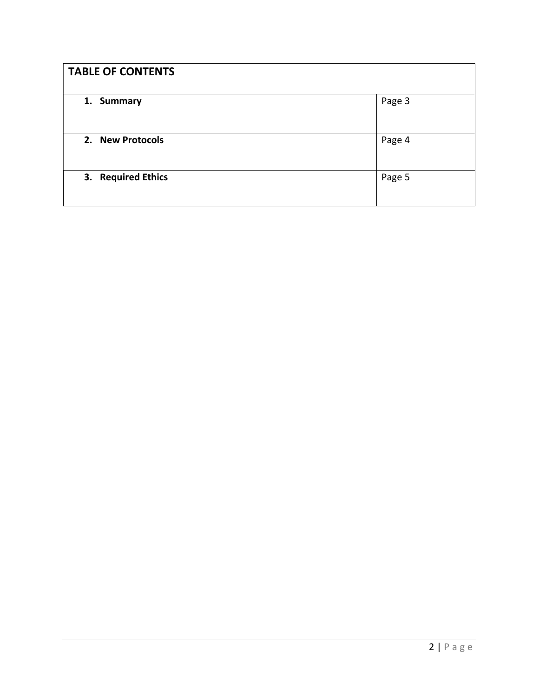| <b>TABLE OF CONTENTS</b> |        |
|--------------------------|--------|
| 1. Summary               | Page 3 |
| 2. New Protocols         | Page 4 |
| 3. Required Ethics       | Page 5 |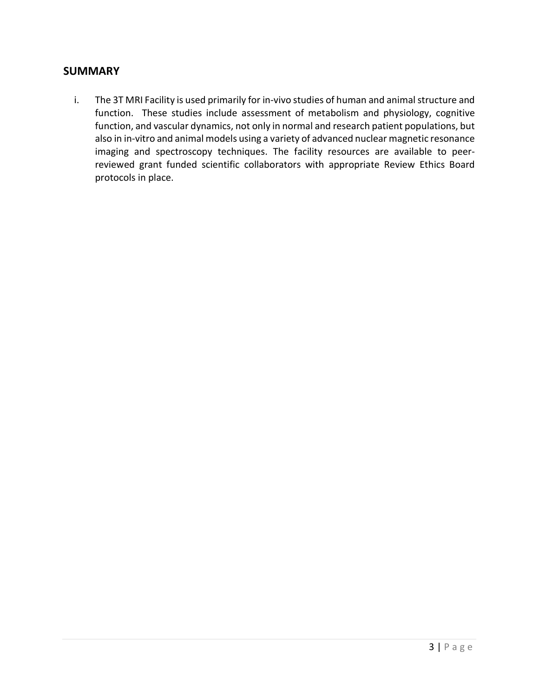### **SUMMARY**

i. The 3T MRI Facility is used primarily for in-vivo studies of human and animal structure and function. These studies include assessment of metabolism and physiology, cognitive function, and vascular dynamics, not only in normal and research patient populations, but also in in-vitro and animal models using a variety of advanced nuclear magnetic resonance imaging and spectroscopy techniques. The facility resources are available to peerreviewed grant funded scientific collaborators with appropriate Review Ethics Board protocols in place.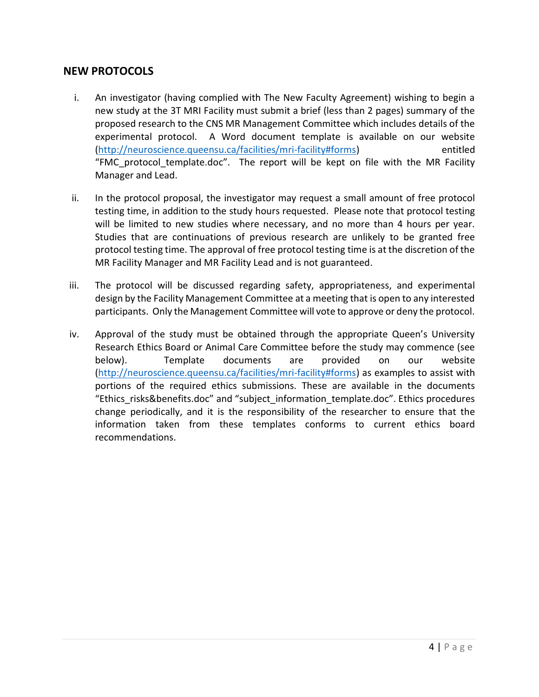## NEW PROTOCOLS

- i. An investigator (having complied with The New Faculty Agreement) wishing to begin a new study at the 3T MRI Facility must submit a brief (less than 2 pages) summary of the proposed research to the CNS MR Management Committee which includes details of the experimental protocol. A Word document template is available on our website (http://neuroscience.queensu.ca/facilities/mri-facility#forms) entitled "FMC protocol template.doc". The report will be kept on file with the MR Facility Manager and Lead.
- ii. In the protocol proposal, the investigator may request a small amount of free protocol testing time, in addition to the study hours requested. Please note that protocol testing will be limited to new studies where necessary, and no more than 4 hours per year. Studies that are continuations of previous research are unlikely to be granted free protocol testing time. The approval of free protocol testing time is at the discretion of the MR Facility Manager and MR Facility Lead and is not guaranteed.
- iii. The protocol will be discussed regarding safety, appropriateness, and experimental design by the Facility Management Committee at a meeting that is open to any interested participants. Only the Management Committee will vote to approve or deny the protocol.
- iv. Approval of the study must be obtained through the appropriate Queen's University Research Ethics Board or Animal Care Committee before the study may commence (see below). Template documents are provided on our website (http://neuroscience.queensu.ca/facilities/mri-facility#forms) as examples to assist with portions of the required ethics submissions. These are available in the documents "Ethics\_risks&benefits.doc" and "subject\_information\_template.doc". Ethics procedures change periodically, and it is the responsibility of the researcher to ensure that the information taken from these templates conforms to current ethics board recommendations.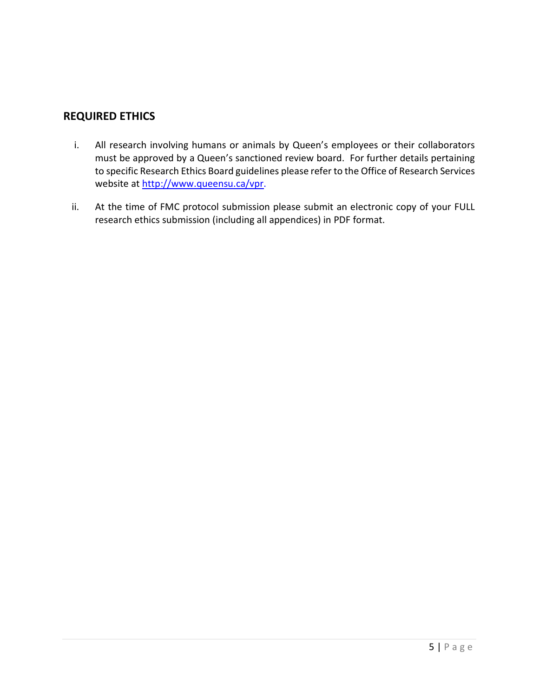# REQUIRED ETHICS

- i. All research involving humans or animals by Queen's employees or their collaborators must be approved by a Queen's sanctioned review board. For further details pertaining to specific Research Ethics Board guidelines please refer to the Office of Research Services website at http://www.queensu.ca/vpr.
- ii. At the time of FMC protocol submission please submit an electronic copy of your FULL research ethics submission (including all appendices) in PDF format.